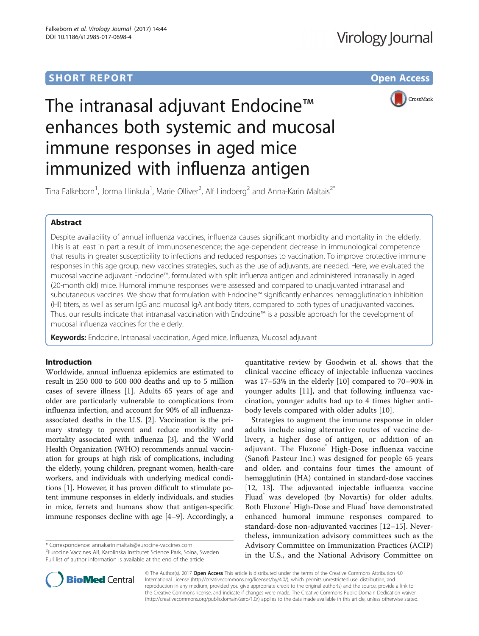# **SHORT REPORT SHORT CONSUMING THE CONSUMING THE CONSUMING THE CONSUMING THE CONSUMING THE CONSUMING THE CONSUMING THE CONSUMING THE CONSUMING THE CONSUMING THE CONSUMING THE CONSUMING THE CONSUMING THE CONSUMING THE CONS**



# The intranasal adjuvant Endocine™ enhances both systemic and mucosal immune responses in aged mice immunized with influenza antigen

Tina Falkeborn<sup>1</sup>, Jorma Hinkula<sup>1</sup>, Marie Olliver<sup>2</sup>, Alf Lindberg<sup>2</sup> and Anna-Karin Maltais<sup>2\*</sup>

## Abstract

Despite availability of annual influenza vaccines, influenza causes significant morbidity and mortality in the elderly. This is at least in part a result of immunosenescence; the age-dependent decrease in immunological competence that results in greater susceptibility to infections and reduced responses to vaccination. To improve protective immune responses in this age group, new vaccines strategies, such as the use of adjuvants, are needed. Here, we evaluated the mucosal vaccine adjuvant Endocine™, formulated with split influenza antigen and administered intranasally in aged (20-month old) mice. Humoral immune responses were assessed and compared to unadjuvanted intranasal and subcutaneous vaccines. We show that formulation with Endocine™ significantly enhances hemagglutination inhibition (HI) titers, as well as serum IgG and mucosal IgA antibody titers, compared to both types of unadjuvanted vaccines. Thus, our results indicate that intranasal vaccination with Endocine™ is a possible approach for the development of mucosal influenza vaccines for the elderly.

Keywords: Endocine, Intranasal vaccination, Aged mice, Influenza, Mucosal adjuvant

## Introduction

Worldwide, annual influenza epidemics are estimated to result in 250 000 to 500 000 deaths and up to 5 million cases of severe illness [[1\]](#page-4-0). Adults 65 years of age and older are particularly vulnerable to complications from influenza infection, and account for 90% of all influenzaassociated deaths in the U.S. [[2\]](#page-4-0). Vaccination is the primary strategy to prevent and reduce morbidity and mortality associated with influenza [\[3](#page-4-0)], and the World Health Organization (WHO) recommends annual vaccination for groups at high risk of complications, including the elderly, young children, pregnant women, health-care workers, and individuals with underlying medical conditions [\[1](#page-4-0)]. However, it has proven difficult to stimulate potent immune responses in elderly individuals, and studies in mice, ferrets and humans show that antigen-specific immune responses decline with age [\[4](#page-4-0)–[9\]](#page-4-0). Accordingly, a

\* Correspondence: [annakarin.maltais@eurocine-vaccines.com](mailto:annakarin.maltais@eurocine-vaccines.com) <sup>2</sup>

<sup>2</sup>Eurocine Vaccines AB, Karolinska Institutet Science Park, Solna, Sweden Full list of author information is available at the end of the article

quantitative review by Goodwin et al. shows that the clinical vaccine efficacy of injectable influenza vaccines was 17–53% in the elderly [[10\]](#page-4-0) compared to 70–90% in younger adults [[11\]](#page-4-0), and that following influenza vaccination, younger adults had up to 4 times higher antibody levels compared with older adults [[10\]](#page-4-0).

Strategies to augment the immune response in older adults include using alternative routes of vaccine delivery, a higher dose of antigen, or addition of an adjuvant. The Fluzone High-Dose influenza vaccine (Sanofi Pasteur Inc.) was designed for people 65 years and older, and contains four times the amount of hemagglutinin (HA) contained in standard-dose vaccines [[12](#page-4-0), [13\]](#page-4-0). The adjuvanted injectable influenza vaccine Fluad was developed (by Novartis) for older adults. Both Fluzone<sup>®</sup> High-Dose and Fluad® have demonstrated enhanced humoral immune responses compared to standard-dose non-adjuvanted vaccines [[12](#page-4-0)–[15\]](#page-4-0). Nevertheless, immunization advisory committees such as the Advisory Committee on Immunization Practices (ACIP) in the U.S., and the National Advisory Committee on



© The Author(s). 2017 **Open Access** This article is distributed under the terms of the Creative Commons Attribution 4.0 International License [\(http://creativecommons.org/licenses/by/4.0/](http://creativecommons.org/licenses/by/4.0/)), which permits unrestricted use, distribution, and reproduction in any medium, provided you give appropriate credit to the original author(s) and the source, provide a link to the Creative Commons license, and indicate if changes were made. The Creative Commons Public Domain Dedication waiver [\(http://creativecommons.org/publicdomain/zero/1.0/](http://creativecommons.org/publicdomain/zero/1.0/)) applies to the data made available in this article, unless otherwise stated.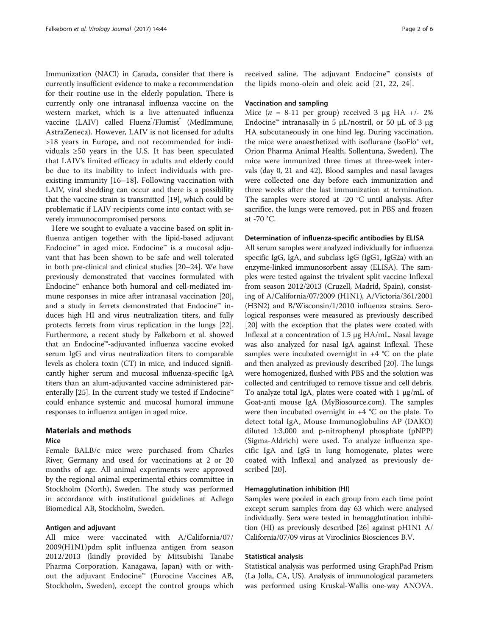Immunization (NACI) in Canada, consider that there is currently insufficient evidence to make a recommendation for their routine use in the elderly population. There is currently only one intranasal influenza vaccine on the western market, which is a live attenuated influenza vaccine (LAIV) called Fluenz<sup>°</sup>/Flumist<sup>°</sup> (MedImmune, AstraZeneca). However, LAIV is not licensed for adults >18 years in Europe, and not recommended for individuals ≥50 years in the U.S. It has been speculated that LAIV's limited efficacy in adults and elderly could be due to its inability to infect individuals with preexisting immunity [\[16](#page-4-0)–[18\]](#page-4-0). Following vaccination with LAIV, viral shedding can occur and there is a possibility that the vaccine strain is transmitted [[19\]](#page-5-0), which could be problematic if LAIV recipients come into contact with severely immunocompromised persons.

Here we sought to evaluate a vaccine based on split influenza antigen together with the lipid-based adjuvant Endocine™ in aged mice. Endocine™ is a mucosal adjuvant that has been shown to be safe and well tolerated in both pre-clinical and clinical studies [\[20](#page-5-0)–[24](#page-5-0)]. We have previously demonstrated that vaccines formulated with Endocine™ enhance both humoral and cell-mediated immune responses in mice after intranasal vaccination [[20](#page-5-0)], and a study in ferrets demonstrated that Endocine™ induces high HI and virus neutralization titers, and fully protects ferrets from virus replication in the lungs [[22](#page-5-0)]. Furthermore, a recent study by Falkeborn et al. showed that an Endocine™-adjuvanted influenza vaccine evoked serum IgG and virus neutralization titers to comparable levels as cholera toxin (CT) in mice, and induced significantly higher serum and mucosal influenza-specific IgA titers than an alum-adjuvanted vaccine administered par-enterally [\[25\]](#page-5-0). In the current study we tested if Endocine™ could enhance systemic and mucosal humoral immune responses to influenza antigen in aged mice.

## Materials and methods

## Mice

Female BALB/c mice were purchased from Charles River, Germany and used for vaccinations at 2 or 20 months of age. All animal experiments were approved by the regional animal experimental ethics committee in Stockholm (North), Sweden. The study was performed in accordance with institutional guidelines at Adlego Biomedical AB, Stockholm, Sweden.

## Antigen and adjuvant

All mice were vaccinated with A/California/07/ 2009(H1N1)pdm split influenza antigen from season 2012/2013 (kindly provided by Mitsubishi Tanabe Pharma Corporation, Kanagawa, Japan) with or without the adjuvant Endocine™ (Eurocine Vaccines AB, Stockholm, Sweden), except the control groups which

received saline. The adjuvant Endocine™ consists of the lipids mono-olein and oleic acid [[21](#page-5-0), [22](#page-5-0), [24](#page-5-0)].

## Vaccination and sampling

Mice ( $n = 8-11$  per group) received 3 μg HA +/- 2% Endocine<sup>™</sup> intranasally in 5  $\mu$ L/nostril, or 50  $\mu$ L of 3 μg HA subcutaneously in one hind leg. During vaccination, the mice were anaesthetized with isoflurane (IsoFlo® vet, Orion Pharma Animal Health, Sollentuna, Sweden). The mice were immunized three times at three-week intervals (day 0, 21 and 42). Blood samples and nasal lavages were collected one day before each immunization and three weeks after the last immunization at termination. The samples were stored at -20 °C until analysis. After sacrifice, the lungs were removed, put in PBS and frozen at -70 °C.

## Determination of influenza-specific antibodies by ELISA

All serum samples were analyzed individually for influenza specific IgG, IgA, and subclass IgG (IgG1, IgG2a) with an enzyme-linked immunosorbent assay (ELISA). The samples were tested against the trivalent split vaccine Inflexal from season 2012/2013 (Cruzell, Madrid, Spain), consisting of A/California/07/2009 (H1N1), A/Victoria/361/2001 (H3N2) and B/Wisconsin/1/2010 influenza strains. Serological responses were measured as previously described [[20](#page-5-0)] with the exception that the plates were coated with Inflexal at a concentration of 1.5 μg HA/mL. Nasal lavage was also analyzed for nasal IgA against Inflexal. These samples were incubated overnight in  $+4$  °C on the plate and then analyzed as previously described [\[20\]](#page-5-0). The lungs were homogenized, flushed with PBS and the solution was collected and centrifuged to remove tissue and cell debris. To analyze total IgA, plates were coated with 1 μg/mL of Goat-anti mouse IgA (MyBiosource.com). The samples were then incubated overnight in +4 °C on the plate. To detect total IgA, Mouse Immunoglobulins AP (DAKO) diluted 1:3,000 and p-nitrophenyl phosphate (pNPP) (Sigma-Aldrich) were used. To analyze influenza specific IgA and IgG in lung homogenate, plates were coated with Inflexal and analyzed as previously described [[20\]](#page-5-0).

## Hemagglutination inhibition (HI)

Samples were pooled in each group from each time point except serum samples from day 63 which were analysed individually. Sera were tested in hemagglutination inhibition (HI) as previously described [[26](#page-5-0)] against pH1N1 A/ California/07/09 virus at Viroclinics Biosciences B.V.

## Statistical analysis

Statistical analysis was performed using GraphPad Prism (La Jolla, CA, US). Analysis of immunological parameters was performed using Kruskal-Wallis one-way ANOVA.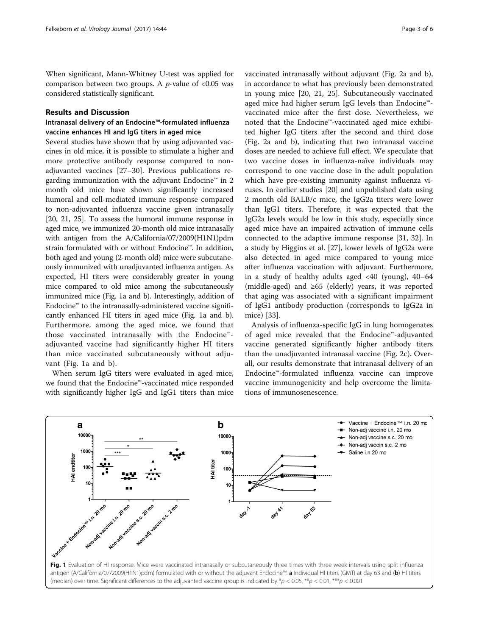When significant, Mann-Whitney U-test was applied for comparison between two groups. A  $p$ -value of <0.05 was considered statistically significant.

## Results and Discussion

## Intranasal delivery of an Endocine™-formulated influenza vaccine enhances HI and IgG titers in aged mice

Several studies have shown that by using adjuvanted vaccines in old mice, it is possible to stimulate a higher and more protective antibody response compared to nonadjuvanted vaccines [\[27](#page-5-0)–[30\]](#page-5-0). Previous publications regarding immunization with the adjuvant Endocine™ in 2 month old mice have shown significantly increased humoral and cell-mediated immune response compared to non-adjuvanted influenza vaccine given intranasally [[20, 21, 25](#page-5-0)]. To assess the humoral immune response in aged mice, we immunized 20-month old mice intranasally with antigen from the A/California/07/2009(H1N1)pdm strain formulated with or without Endocine™. In addition, both aged and young (2-month old) mice were subcutaneously immunized with unadjuvanted influenza antigen. As expected, HI titers were considerably greater in young mice compared to old mice among the subcutaneously immunized mice (Fig. 1a and b). Interestingly, addition of Endocine™ to the intranasally-administered vaccine significantly enhanced HI titers in aged mice (Fig. 1a and b). Furthermore, among the aged mice, we found that those vaccinated intranasally with the Endocine™ adjuvanted vaccine had significantly higher HI titers than mice vaccinated subcutaneously without adjuvant (Fig. 1a and b).

When serum IgG titers were evaluated in aged mice, we found that the Endocine™-vaccinated mice responded with significantly higher IgG and IgG1 titers than mice vaccinated intranasally without adjuvant (Fig. [2a](#page-3-0) and [b](#page-3-0)), in accordance to what has previously been demonstrated in young mice [\[20](#page-5-0), [21, 25](#page-5-0)]. Subcutaneously vaccinated aged mice had higher serum IgG levels than Endocine™ vaccinated mice after the first dose. Nevertheless, we noted that the Endocine™-vaccinated aged mice exhibited higher IgG titers after the second and third dose (Fig. [2a](#page-3-0) and [b\)](#page-3-0), indicating that two intranasal vaccine doses are needed to achieve full effect. We speculate that two vaccine doses in influenza-naïve individuals may correspond to one vaccine dose in the adult population which have pre-existing immunity against influenza viruses. In earlier studies [[20](#page-5-0)] and unpublished data using 2 month old BALB/c mice, the IgG2a titers were lower than IgG1 titers. Therefore, it was expected that the IgG2a levels would be low in this study, especially since aged mice have an impaired activation of immune cells connected to the adaptive immune response [[31, 32](#page-5-0)]. In a study by Higgins et al. [[27\]](#page-5-0), lower levels of IgG2a were also detected in aged mice compared to young mice after influenza vaccination with adjuvant. Furthermore, in a study of healthy adults aged  $\langle 40 \rangle$  (young),  $40-64$ (middle-aged) and ≥65 (elderly) years, it was reported that aging was associated with a significant impairment of IgG1 antibody production (corresponds to IgG2a in mice) [[33](#page-5-0)].

Analysis of influenza-specific IgG in lung homogenates of aged mice revealed that the Endocine™-adjuvanted vaccine generated significantly higher antibody titers than the unadjuvanted intranasal vaccine (Fig. [2c\)](#page-3-0). Overall, our results demonstrate that intranasal delivery of an Endocine™-formulated influenza vaccine can improve vaccine immunogenicity and help overcome the limitations of immunosenescence.

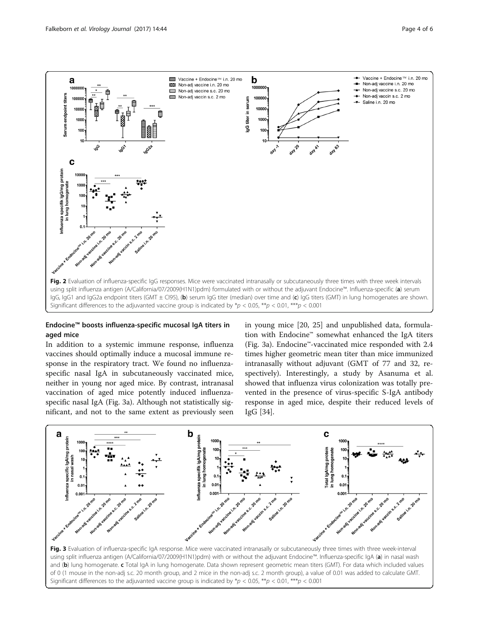<span id="page-3-0"></span>

## Endocine™ boosts influenza-specific mucosal IgA titers in aged mice

In addition to a systemic immune response, influenza vaccines should optimally induce a mucosal immune response in the respiratory tract. We found no influenzaspecific nasal IgA in subcutaneously vaccinated mice, neither in young nor aged mice. By contrast, intranasal vaccination of aged mice potently induced influenzaspecific nasal IgA (Fig. 3a). Although not statistically significant, and not to the same extent as previously seen

in young mice [[20](#page-5-0), [25\]](#page-5-0) and unpublished data, formulation with Endocine™ somewhat enhanced the IgA titers (Fig. 3a). Endocine™-vaccinated mice responded with 2.4 times higher geometric mean titer than mice immunized intranasally without adjuvant (GMT of 77 and 32, respectively). Interestingly, a study by Asanuma et al. showed that influenza virus colonization was totally prevented in the presence of virus-specific S-IgA antibody response in aged mice, despite their reduced levels of IgG [\[34\]](#page-5-0).



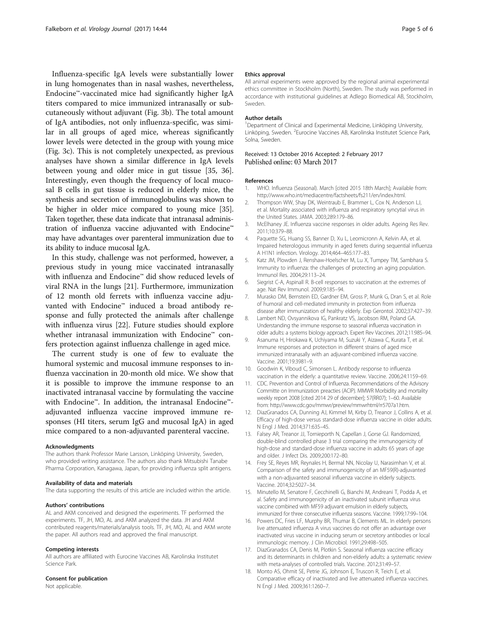<span id="page-4-0"></span>Influenza-specific IgA levels were substantially lower in lung homogenates than in nasal washes, nevertheless, Endocine™-vaccinated mice had significantly higher IgA titers compared to mice immunized intranasally or subcutaneously without adjuvant (Fig. [3b\)](#page-3-0). The total amount of IgA antibodies, not only influenza-specific, was similar in all groups of aged mice, whereas significantly lower levels were detected in the group with young mice (Fig. [3c](#page-3-0)). This is not completely unexpected, as previous analyses have shown a similar difference in IgA levels between young and older mice in gut tissue [\[35](#page-5-0), [36](#page-5-0)]. Interestingly, even though the frequency of local mucosal B cells in gut tissue is reduced in elderly mice, the synthesis and secretion of immunoglobulins was shown to be higher in older mice compared to young mice [[35](#page-5-0)]. Taken together, these data indicate that intranasal administration of influenza vaccine adjuvanted with Endocine™ may have advantages over parenteral immunization due to its ability to induce mucosal IgA.

In this study, challenge was not performed, however, a previous study in young mice vaccinated intranasally with influenza and Endocine™ did show reduced levels of viral RNA in the lungs [\[21](#page-5-0)]. Furthermore, immunization of 12 month old ferrets with influenza vaccine adjuvanted with Endocine™ induced a broad antibody response and fully protected the animals after challenge with influenza virus [[22\]](#page-5-0). Future studies should explore whether intranasal immunization with Endocine™ confers protection against influenza challenge in aged mice.

The current study is one of few to evaluate the humoral systemic and mucosal immune responses to influenza vaccination in 20-month old mice. We show that it is possible to improve the immune response to an inactivated intranasal vaccine by formulating the vaccine with Endocine™. In addition, the intranasal Endocine™ adjuvanted influenza vaccine improved immune responses (HI titers, serum IgG and mucosal IgA) in aged mice compared to a non-adjuvanted parenteral vaccine.

#### Acknowledgments

The authors thank Professor Marie Larsson, Linköping University, Sweden, who provided writing assistance. The authors also thank Mitsubishi Tanabe Pharma Corporation, Kanagawa, Japan, for providing influenza split antigens.

#### Availability of data and materials

The data supporting the results of this article are included within the article.

#### Authors' contributions

AL and AKM conceived and designed the experiments. TF performed the experiments. TF, JH, MO, AL and AKM analyzed the data. JH and AKM contributed reagents/materials/analysis tools. TF, JH, MO, AL and AKM wrote the paper. All authors read and approved the final manuscript.

#### Competing interests

All authors are affiliated with Eurocine Vaccines AB, Karolinska Institutet Science Park.

## Consent for publication

Not applicable.

#### Ethics approval

All animal experiments were approved by the regional animal experimental ethics committee in Stockholm (North), Sweden. The study was performed in accordance with institutional guidelines at Adlego Biomedical AB, Stockholm, Sweden.

#### Author details

<sup>1</sup>Department of Clinical and Experimental Medicine, Linköping University Linköping, Sweden. <sup>2</sup>Eurocine Vaccines AB, Karolinska Institutet Science Park Solna, Sweden.

#### Received: 13 October 2016 Accepted: 2 February 2017 Published online: 03 March 2017

#### References

- 1. WHO. Influenza (Seasonal). March [cited 2015 18th March]; Available from: [http://www.who.int/mediacentre/factsheets/fs211/en/index.html.](http://www.who.int/mediacentre/factsheets/fs211/en/index.html)
- 2. Thompson WW, Shay DK, Weintraub E, Brammer L, Cox N, Anderson LJ, et al. Mortality associated with influenza and respiratory syncytial virus in the United States. JAMA. 2003;289:179–86.
- 3. McElhaney JE. Influenza vaccine responses in older adults. Ageing Res Rev. 2011;10:379–88.
- 4. Paquette SG, Huang SS, Banner D, Xu L, Leomicronn A, Kelvin AA, et al. Impaired heterologous immunity in aged ferrets during sequential influenza A H1N1 infection. Virology. 2014;464–465:177–83.
- 5. Katz JM, Plowden J, Renshaw-Hoelscher M, Lu X, Tumpey TM, Sambhara S. Immunity to influenza: the challenges of protecting an aging population. Immunol Res. 2004;29:113–24.
- 6. Siegrist C-A, Aspinall R. B-cell responses to vaccination at the extremes of age. Nat Rev Immunol. 2009;9:185–94.
- 7. Murasko DM, Bernstein ED, Gardner EM, Gross P, Munk G, Dran S, et al. Role of humoral and cell-mediated immunity in protection from influenza disease after immunization of healthy elderly. Exp Gerontol. 2002;37:427–39.
- Lambert ND, Ovsyannikova IG, Pankratz VS, Jacobson RM, Poland GA. Understanding the immune response to seasonal influenza vaccination in older adults: a systems biology approach. Expert Rev Vaccines. 2012;11:985–94.
- 9. Asanuma H, Hirokawa K, Uchiyama M, Suzuki Y, Aizawa C, Kurata T, et al. Immune responses and protection in different strains of aged mice immunized intranasally with an adjuvant-combined influenza vaccine. Vaccine. 2001;19:3981–9.
- 10. Goodwin K, Viboud C, Simonsen L. Antibody response to influenza vaccination in the elderly: a quantitative review. Vaccine. 2006;24:1159–69.
- 11. CDC. Prevention and Control of Influenza. Recommendations of the Advisory Committe on Immunization preacties (ACIP). MMWR Morbidity and mortality weekly report 2008 [cited 2014 29 of december]; 57(RR07); 1–60. Available from:<http://www.cdc.gov/mmwr/preview/mmwrhtml/rr5707a1.htm>.
- 12. DiazGranados CA, Dunning AJ, Kimmel M, Kirby D, Treanor J, Collins A, et al. Efficacy of high-dose versus standard-dose influenza vaccine in older adults. N Engl J Med. 2014;371:635–45.
- 13. Falsey AR, Treanor JJ, Tornieporth N, Capellan J, Gorse GJ. Randomized, double-blind controlled phase 3 trial comparing the immunogenicity of high-dose and standard-dose influenza vaccine in adults 65 years of age and older. J Infect Dis. 2009;200:172–80.
- 14. Frey SE, Reyes MR, Reynales H, Bermal NN, Nicolay U, Narasimhan V, et al. Comparison of the safety and immunogenicity of an MF59(R)-adjuvanted with a non-adjuvanted seasonal influenza vaccine in elderly subjects. Vaccine. 2014;32:5027–34.
- 15. Minutello M, Senatore F, Cecchinelli G, Bianchi M, Andreani T, Podda A, et al. Safety and immunogenicity of an inactivated subunit influenza virus vaccine combined with MF59 adjuvant emulsion in elderly subjects, immunized for three consecutive influenza seasons. Vaccine. 1999;17:99–104.
- 16. Powers DC, Fries LF, Murphy BR, Thumar B, Clements ML. In elderly persons live attenuated influenza A virus vaccines do not offer an advantage over inactivated virus vaccine in inducing serum or secretory antibodies or local immunologic memory. J Clin Microbiol. 1991;29:498–505.
- 17. DiazGranados CA, Denis M, Plotkin S. Seasonal influenza vaccine efficacy and its determinants in children and non-elderly adults: a systematic review with meta-analyses of controlled trials. Vaccine. 2012;31:49–57.
- 18. Monto AS, Ohmit SE, Petrie JG, Johnson E, Truscon R, Teich E, et al. Comparative efficacy of inactivated and live attenuated influenza vaccines. N Engl J Med. 2009;361:1260–7.